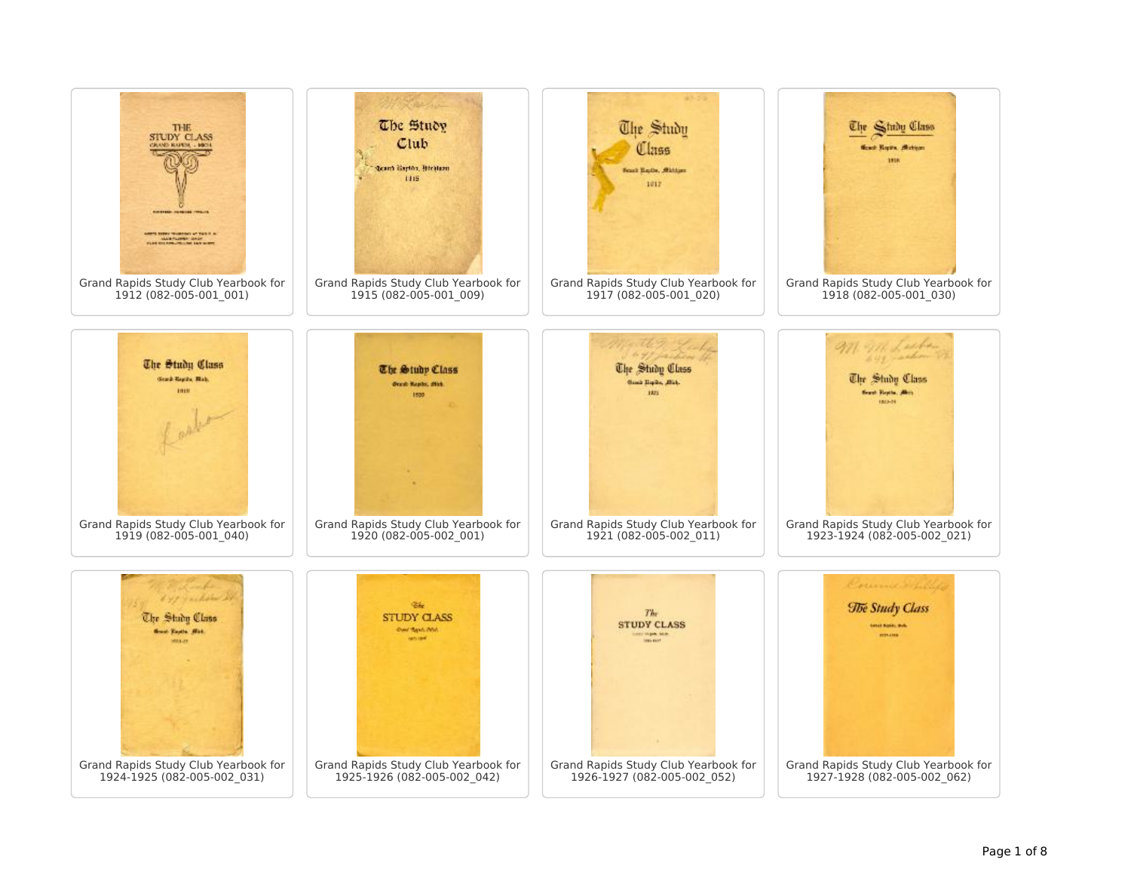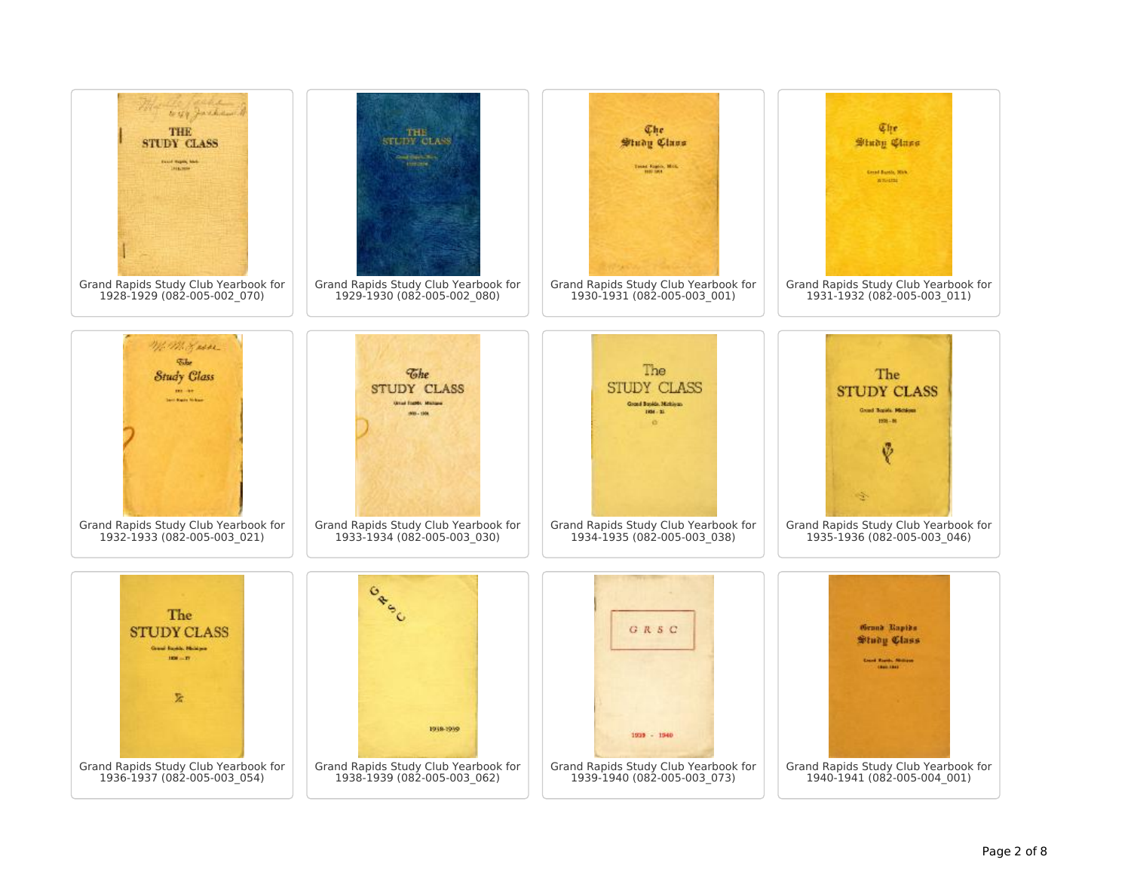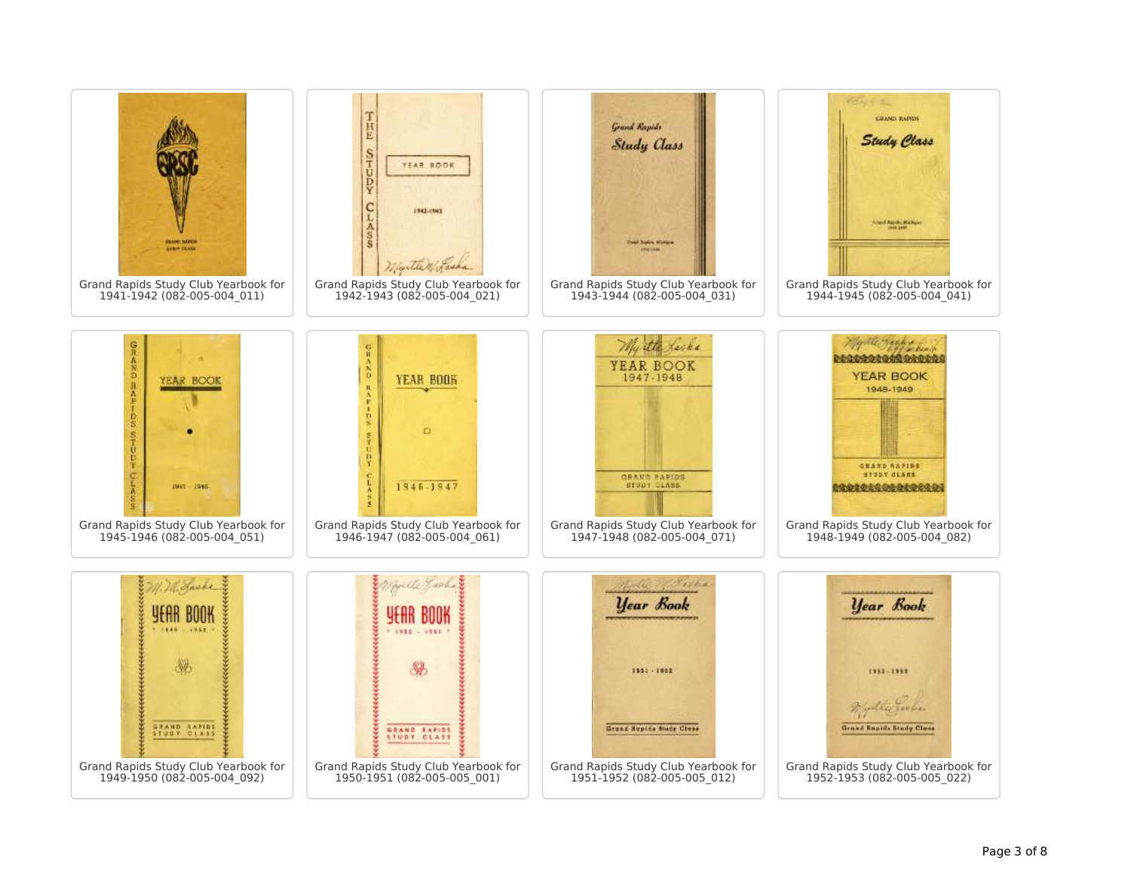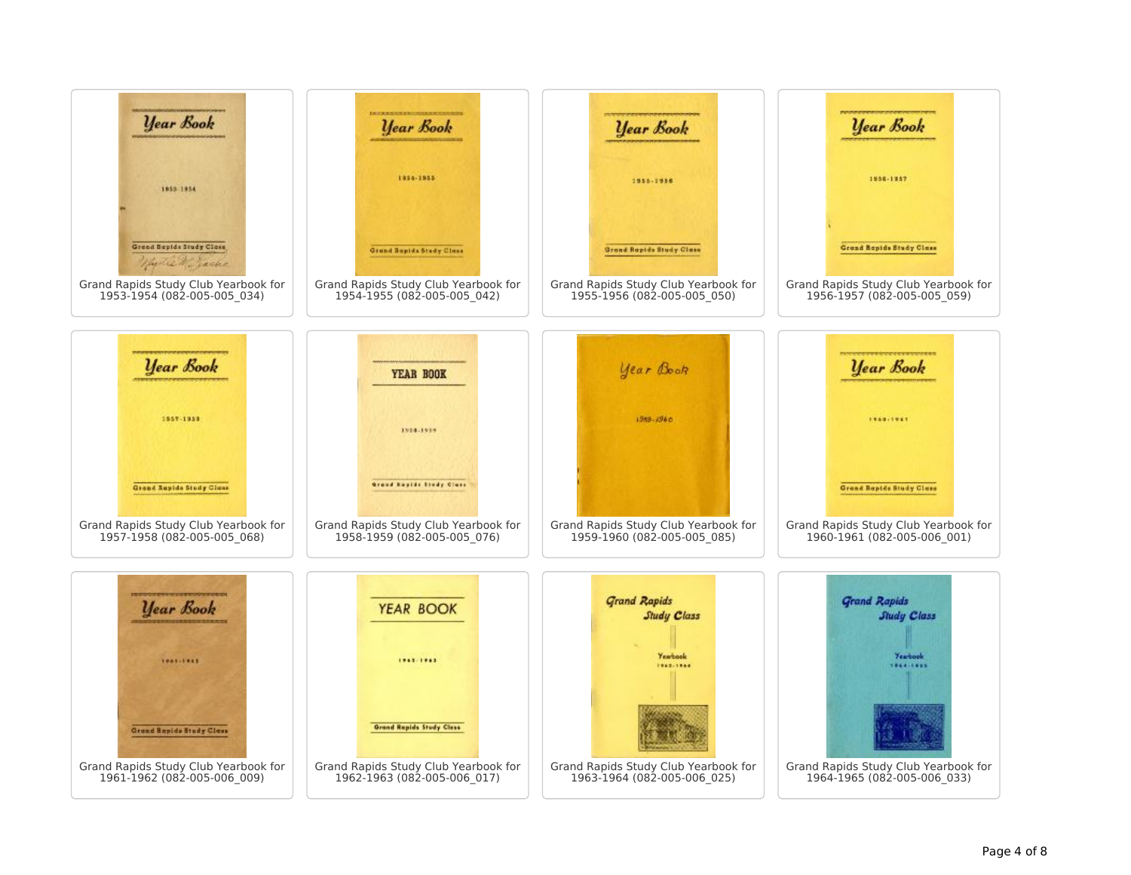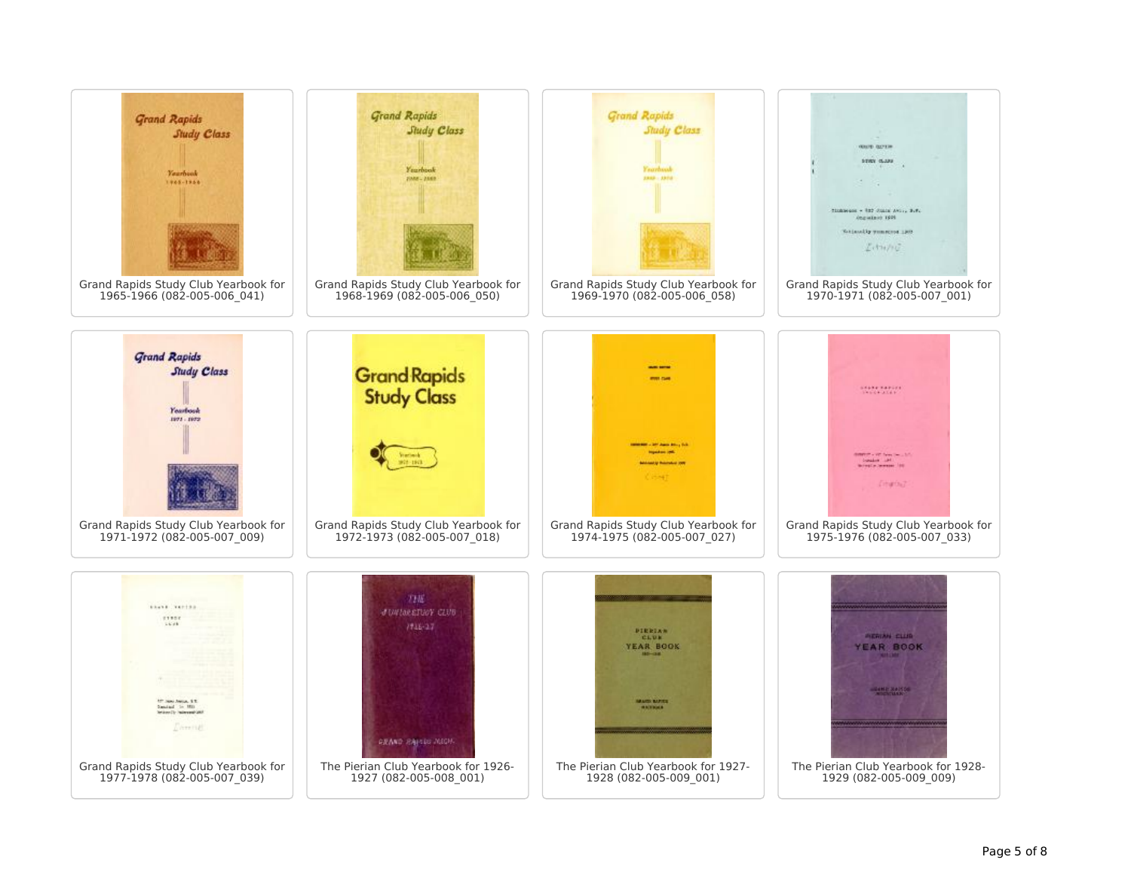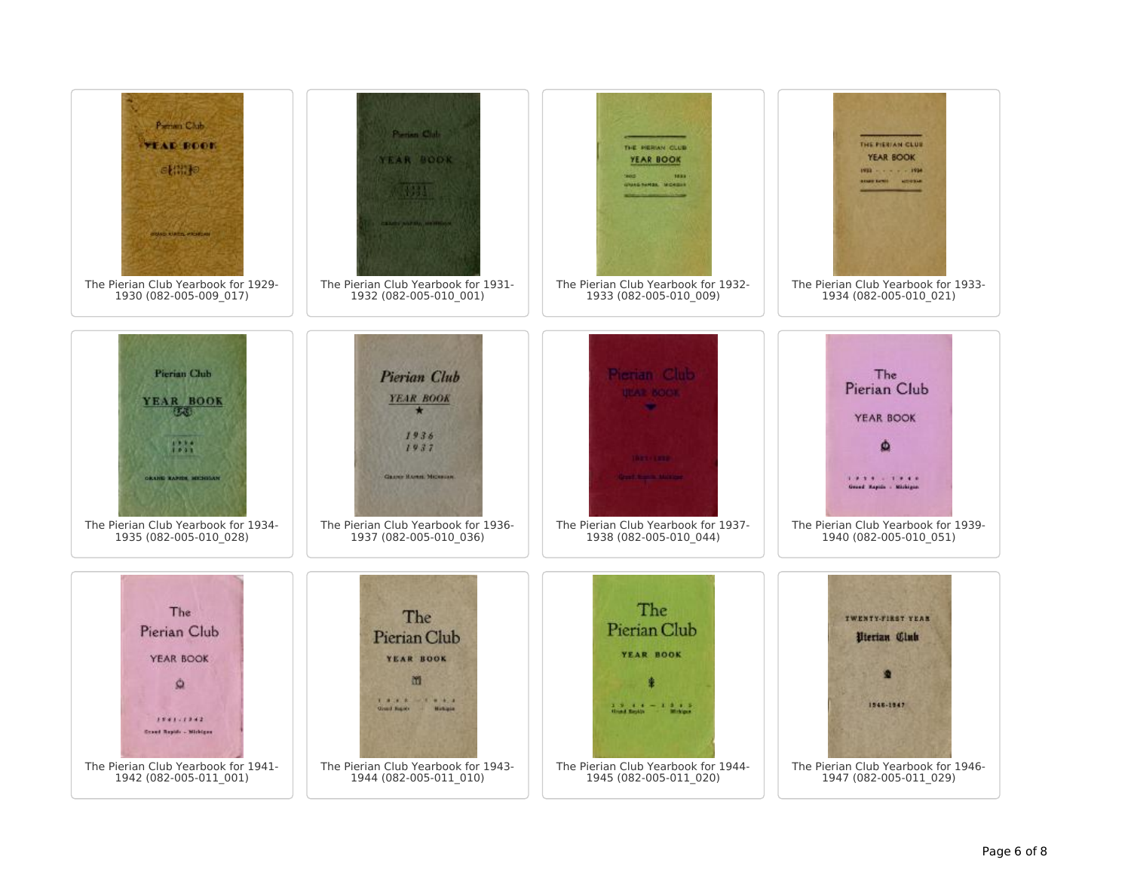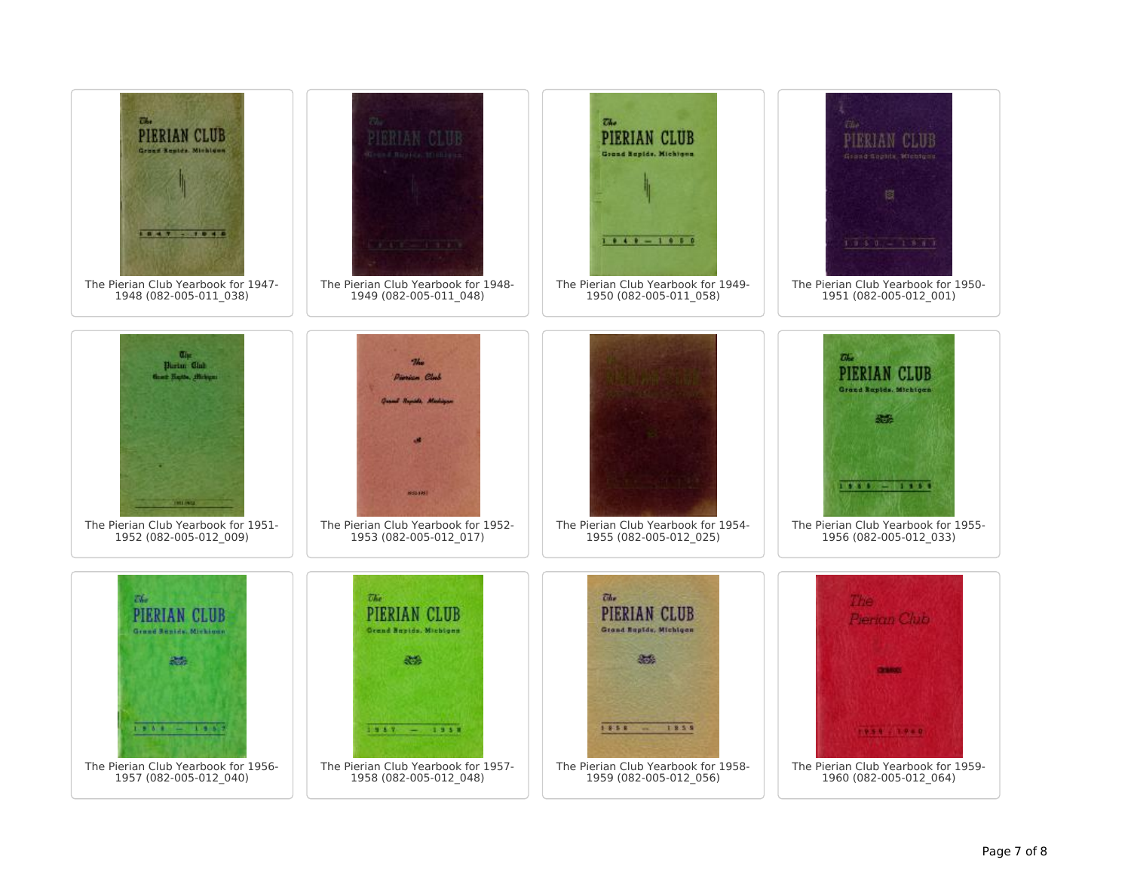